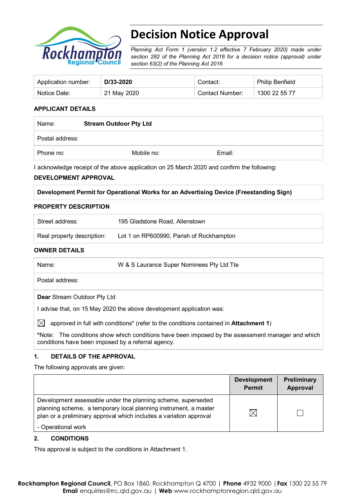

# **Decision Notice Approval**

*Planning Act Form 1 (version 1.2 effective 7 February 2020) made under section 282 of the Planning Act 2016 for a decision notice (approval) under section 63(2) of the Planning Act 2016*

| Application number: | D/33-2020   | Contact:        | <b>Philip Benfield</b> |
|---------------------|-------------|-----------------|------------------------|
| Notice Date:        | 21 May 2020 | Contact Number: | 1300 22 55 77          |

# **APPLICANT DETAILS**

| Name:           | <b>Stream Outdoor Pty Ltd</b> |        |  |
|-----------------|-------------------------------|--------|--|
| Postal address: |                               |        |  |
| Phone no:       | Mobile no:                    | Email: |  |

I acknowledge receipt of the above application on 25 March 2020 and confirm the following:

### **DEVELOPMENT APPROVAL**

| Development Permit for Operational Works for an Advertising Device (Freestanding Sign) |  |  |  |
|----------------------------------------------------------------------------------------|--|--|--|
|                                                                                        |  |  |  |

# **PROPERTY DESCRIPTION**

| Street address:            | 195 Gladstone Road, Allenstown           |
|----------------------------|------------------------------------------|
| Real property description: | Lot 1 on RP600990, Parish of Rockhampton |

## **OWNER DETAILS**

| Name:                              | W & S Laurance Super Nominees Pty Ltd Tte                          |
|------------------------------------|--------------------------------------------------------------------|
| Postal address:                    |                                                                    |
| <b>Dear Stream Outdoor Pty Ltd</b> |                                                                    |
|                                    | advise that, on 15 May 2020 the above development application was: |

 $\boxtimes$  approved in full with conditions<sup>\*</sup> (refer to the conditions contained in **Attachment 1**)

**\***Note:The conditions show which conditions have been imposed by the assessment manager and which conditions have been imposed by a referral agency.

### **1. DETAILS OF THE APPROVAL**

The following approvals are given:

|                                                                                                                                                                                                        | <b>Development</b><br><b>Permit</b> | Preliminary<br>Approval |
|--------------------------------------------------------------------------------------------------------------------------------------------------------------------------------------------------------|-------------------------------------|-------------------------|
| Development assessable under the planning scheme, superseded<br>planning scheme, a temporary local planning instrument, a master<br>plan or a preliminary approval which includes a variation approval | IX                                  |                         |
| - Operational work                                                                                                                                                                                     |                                     |                         |

### **2. CONDITIONS**

This approval is subject to the conditions in Attachment 1.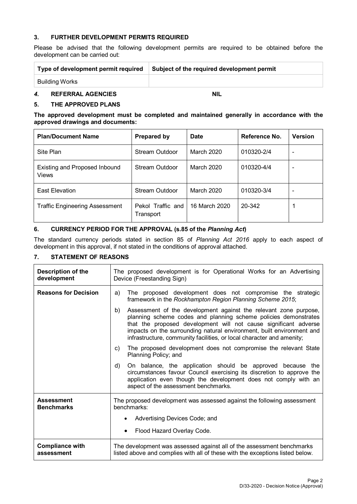# **3. FURTHER DEVELOPMENT PERMITS REQUIRED**

Please be advised that the following development permits are required to be obtained before the development can be carried out:

| Type of development permit required | Subject of the required development permit |
|-------------------------------------|--------------------------------------------|
| Building Works                      |                                            |

# *4.* **REFERRAL AGENCIES NIL**

### **5. THE APPROVED PLANS**

**The approved development must be completed and maintained generally in accordance with the approved drawings and documents:**

| <b>Plan/Document Name</b>                     | <b>Prepared by</b>             | Date          | Reference No. | <b>Version</b> |
|-----------------------------------------------|--------------------------------|---------------|---------------|----------------|
| Site Plan                                     | Stream Outdoor                 | March 2020    | 010320-2/4    |                |
| <b>Existing and Proposed Inbound</b><br>Views | Stream Outdoor                 | March 2020    | 010320-4/4    |                |
| <b>East Elevation</b>                         | Stream Outdoor                 | March 2020    | 010320-3/4    |                |
| <b>Traffic Engineering Assessment</b>         | Pekol Traffic and<br>Transport | 16 March 2020 | 20-342        |                |

# **6. CURRENCY PERIOD FOR THE APPROVAL (s.85 of the** *Planning Act***)**

The standard currency periods stated in section 85 of *Planning Act 2016* apply to each aspect of development in this approval, if not stated in the conditions of approval attached.

### **7. STATEMENT OF REASONS**

| Description of the<br>development      | The proposed development is for Operational Works for an Advertising<br>Device (Freestanding Sign)                                                                                                                                                                                                                                                              |  |  |  |
|----------------------------------------|-----------------------------------------------------------------------------------------------------------------------------------------------------------------------------------------------------------------------------------------------------------------------------------------------------------------------------------------------------------------|--|--|--|
| <b>Reasons for Decision</b>            | The proposed development does not compromise the strategic<br>a)<br>framework in the Rockhampton Region Planning Scheme 2015;                                                                                                                                                                                                                                   |  |  |  |
|                                        | Assessment of the development against the relevant zone purpose,<br>b)<br>planning scheme codes and planning scheme policies demonstrates<br>that the proposed development will not cause significant adverse<br>impacts on the surrounding natural environment, built environment and<br>infrastructure, community facilities, or local character and amenity; |  |  |  |
|                                        | The proposed development does not compromise the relevant State<br>C)<br>Planning Policy; and                                                                                                                                                                                                                                                                   |  |  |  |
|                                        | On balance, the application should be approved because the<br>d)<br>circumstances favour Council exercising its discretion to approve the<br>application even though the development does not comply with an<br>aspect of the assessment benchmarks.                                                                                                            |  |  |  |
| <b>Assessment</b><br><b>Benchmarks</b> | The proposed development was assessed against the following assessment<br>benchmarks:                                                                                                                                                                                                                                                                           |  |  |  |
|                                        | Advertising Devices Code; and                                                                                                                                                                                                                                                                                                                                   |  |  |  |
|                                        | Flood Hazard Overlay Code.                                                                                                                                                                                                                                                                                                                                      |  |  |  |
| <b>Compliance with</b><br>assessment   | The development was assessed against all of the assessment benchmarks<br>listed above and complies with all of these with the exceptions listed below.                                                                                                                                                                                                          |  |  |  |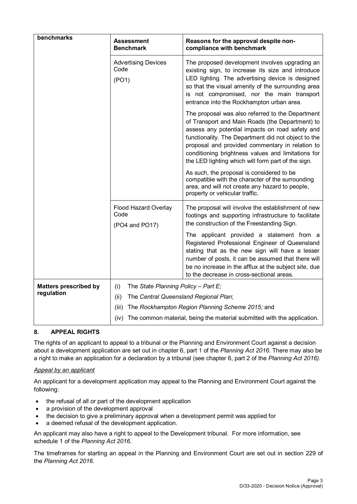| benchmarks                   | <b>Assessment</b><br><b>Benchmark</b>                                        | Reasons for the approval despite non-<br>compliance with benchmark                                                                                                                                                                                                                                                                                                           |  |  |
|------------------------------|------------------------------------------------------------------------------|------------------------------------------------------------------------------------------------------------------------------------------------------------------------------------------------------------------------------------------------------------------------------------------------------------------------------------------------------------------------------|--|--|
|                              | <b>Advertising Devices</b><br>Code<br>(PO1)                                  | The proposed development involves upgrading an<br>existing sign, to increase its size and introduce<br>LED lighting. The advertising device is designed<br>so that the visual amenity of the surrounding area<br>is not compromised, nor the main transport<br>entrance into the Rockhampton urban area.                                                                     |  |  |
|                              |                                                                              | The proposal was also referred to the Department<br>of Transport and Main Roads (the Department) to<br>assess any potential impacts on road safety and<br>functionality. The Department did not object to the<br>proposal and provided commentary in relation to<br>conditioning brightness values and limitations for<br>the LED lighting which will form part of the sign. |  |  |
|                              |                                                                              | As such, the proposal is considered to be<br>compatible with the character of the surrounding<br>area, and will not create any hazard to people,<br>property or vehicular traffic.                                                                                                                                                                                           |  |  |
|                              | Flood Hazard Overlay<br>Code<br>(PO4 and PO17)                               | The proposal will involve the establishment of new<br>footings and supporting infrastructure to facilitate<br>the construction of the Freestanding Sign.                                                                                                                                                                                                                     |  |  |
|                              |                                                                              | The applicant provided a statement from a<br>Registered Professional Engineer of Queensland<br>stating that as the new sign will have a lesser<br>number of posts, it can be assumed that there will<br>be no increase in the afflux at the subject site, due<br>to the decrease in cross-sectional areas.                                                                   |  |  |
| <b>Matters prescribed by</b> | The State Planning Policy - Part $E_i$<br>(i)                                |                                                                                                                                                                                                                                                                                                                                                                              |  |  |
| regulation                   | (ii)<br>The Central Queensland Regional Plan;                                |                                                                                                                                                                                                                                                                                                                                                                              |  |  |
|                              | (iii)                                                                        | The Rockhampton Region Planning Scheme 2015; and                                                                                                                                                                                                                                                                                                                             |  |  |
|                              | (iv) The common material, being the material submitted with the application. |                                                                                                                                                                                                                                                                                                                                                                              |  |  |

# **8. APPEAL RIGHTS**

The rights of an applicant to appeal to a tribunal or the Planning and Environment Court against a decision about a development application are set out in chapter 6, part 1 of the *Planning Act 2016*. There may also be a right to make an application for a declaration by a tribunal (see chapter 6, part 2 of the *Planning Act 2016).*

# *Appeal by an applicant*

An applicant for a development application may appeal to the Planning and Environment Court against the following:

- the refusal of all or part of the development application
- a provision of the development approval
- the decision to give a preliminary approval when a development permit was applied for
- a deemed refusal of the development application.

An applicant may also have a right to appeal to the Development tribunal. For more information, see schedule 1 of the *Planning Act 2016*.

The timeframes for starting an appeal in the Planning and Environment Court are set out in section 229 of the *Planning Act 2016*.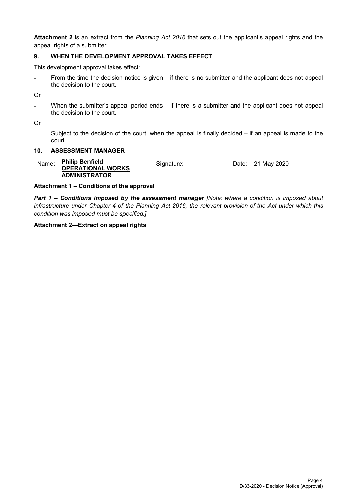**Attachment 2** is an extract from the *Planning Act 2016* that sets out the applicant's appeal rights and the appeal rights of a submitter.

# **9. WHEN THE DEVELOPMENT APPROVAL TAKES EFFECT**

This development approval takes effect:

- From the time the decision notice is given – if there is no submitter and the applicant does not appeal the decision to the court.

Or

When the submitter's appeal period ends – if there is a submitter and the applicant does not appeal the decision to the court.

Or

- Subject to the decision of the court, when the appeal is finally decided – if an appeal is made to the court.

### **10. ASSESSMENT MANAGER**

| Name: | <b>Philip Benfield</b><br><b>OPERATIONAL WORKS</b> | Signature: | Date: 21 May 2020 |
|-------|----------------------------------------------------|------------|-------------------|
|       | <b>ADMINISTRATOR</b>                               |            |                   |

#### **Attachment 1 – Conditions of the approval**

*Part 1* **–** *Conditions imposed by the assessment manager [Note: where a condition is imposed about infrastructure under Chapter 4 of the Planning Act 2016, the relevant provision of the Act under which this condition was imposed must be specified.]*

### **Attachment 2—Extract on appeal rights**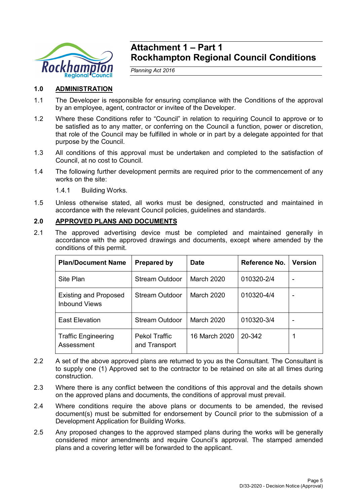

# **Attachment 1 – Part 1 Rockhampton Regional Council Conditions**

*Planning Act 2016*

# **1.0 ADMINISTRATION**

- 1.1 The Developer is responsible for ensuring compliance with the Conditions of the approval by an employee, agent, contractor or invitee of the Developer.
- 1.2 Where these Conditions refer to "Council" in relation to requiring Council to approve or to be satisfied as to any matter, or conferring on the Council a function, power or discretion, that role of the Council may be fulfilled in whole or in part by a delegate appointed for that purpose by the Council.
- 1.3 All conditions of this approval must be undertaken and completed to the satisfaction of Council, at no cost to Council.
- 1.4 The following further development permits are required prior to the commencement of any works on the site:

1.4.1 Building Works.

1.5 Unless otherwise stated, all works must be designed, constructed and maintained in accordance with the relevant Council policies, guidelines and standards.

# **2.0 APPROVED PLANS AND DOCUMENTS**

2.1 The approved advertising device must be completed and maintained generally in accordance with the approved drawings and documents, except where amended by the conditions of this permit.

| <b>Plan/Document Name</b>                            | <b>Prepared by</b>             | <b>Date</b>   | Reference No. | <b>Version</b> |
|------------------------------------------------------|--------------------------------|---------------|---------------|----------------|
| Site Plan                                            | Stream Outdoor                 | March 2020    | 010320-2/4    | -              |
| <b>Existing and Proposed</b><br><b>Inbound Views</b> | Stream Outdoor                 | March 2020    | 010320-4/4    | -              |
| <b>East Elevation</b>                                | Stream Outdoor                 | March 2020    | 010320-3/4    |                |
| <b>Traffic Engineering</b><br>Assessment             | Pekol Traffic<br>and Transport | 16 March 2020 | 20-342        |                |

- 2.2 A set of the above approved plans are returned to you as the Consultant. The Consultant is to supply one (1) Approved set to the contractor to be retained on site at all times during construction.
- 2.3 Where there is any conflict between the conditions of this approval and the details shown on the approved plans and documents, the conditions of approval must prevail.
- 2.4 Where conditions require the above plans or documents to be amended, the revised document(s) must be submitted for endorsement by Council prior to the submission of a Development Application for Building Works.
- 2.5 Any proposed changes to the approved stamped plans during the works will be generally considered minor amendments and require Council's approval. The stamped amended plans and a covering letter will be forwarded to the applicant.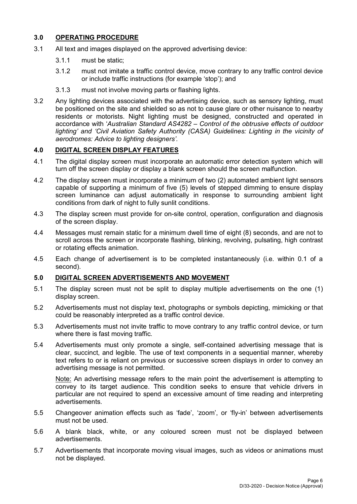# **3.0 OPERATING PROCEDURE**

- 3.1 All text and images displayed on the approved advertising device:
	- 3.1.1 must be static;
	- 3.1.2 must not imitate a traffic control device, move contrary to any traffic control device or include traffic instructions (for example 'stop'); and
	- 3.1.3 must not involve moving parts or flashing lights.
- 3.2 Any lighting devices associated with the advertising device, such as sensory lighting, must be positioned on the site and shielded so as not to cause glare or other nuisance to nearby residents or motorists. Night lighting must be designed, constructed and operated in accordance with '*Australian Standard AS4282 – Control of the obtrusive effects of outdoor lighting' and 'Civil Aviation Safety Authority (CASA) Guidelines: Lighting in the vicinity of aerodromes: Advice to lighting designers'.*

# **4.0 DIGITAL SCREEN DISPLAY FEATURES**

- 4.1 The digital display screen must incorporate an automatic error detection system which will turn off the screen display or display a blank screen should the screen malfunction.
- 4.2 The display screen must incorporate a minimum of two (2) automated ambient light sensors capable of supporting a minimum of five (5) levels of stepped dimming to ensure display screen luminance can adjust automatically in response to surrounding ambient light conditions from dark of night to fully sunlit conditions.
- 4.3 The display screen must provide for on-site control, operation, configuration and diagnosis of the screen display.
- 4.4 Messages must remain static for a minimum dwell time of eight (8) seconds, and are not to scroll across the screen or incorporate flashing, blinking, revolving, pulsating, high contrast or rotating effects animation.
- 4.5 Each change of advertisement is to be completed instantaneously (i.e. within 0.1 of a second).

# **5.0 DIGITAL SCREEN ADVERTISEMENTS AND MOVEMENT**

- 5.1 The display screen must not be split to display multiple advertisements on the one (1) display screen.
- 5.2 Advertisements must not display text, photographs or symbols depicting, mimicking or that could be reasonably interpreted as a traffic control device.
- 5.3 Advertisements must not invite traffic to move contrary to any traffic control device, or turn where there is fast moving traffic.
- 5.4 Advertisements must only promote a single, self-contained advertising message that is clear, succinct, and legible. The use of text components in a sequential manner, whereby text refers to or is reliant on previous or successive screen displays in order to convey an advertising message is not permitted.

Note: An advertising message refers to the main point the advertisement is attempting to convey to its target audience. This condition seeks to ensure that vehicle drivers in particular are not required to spend an excessive amount of time reading and interpreting advertisements.

- 5.5 Changeover animation effects such as 'fade', 'zoom', or 'fly-in' between advertisements must not be used.
- 5.6 A blank black, white, or any coloured screen must not be displayed between advertisements.
- 5.7 Advertisements that incorporate moving visual images, such as videos or animations must not be displayed.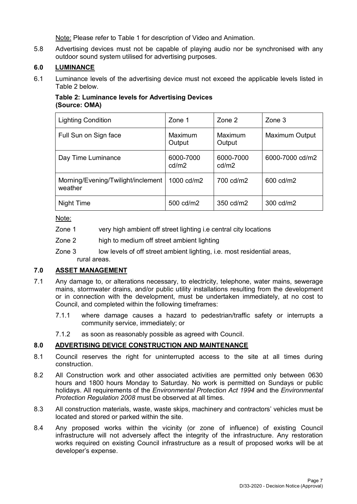Note: Please refer to Table 1 for description of Video and Animation.

5.8 Advertising devices must not be capable of playing audio nor be synchronised with any outdoor sound system utilised for advertising purposes.

# **6.0 LUMINANCE**

6.1 Luminance levels of the advertising device must not exceed the applicable levels listed in Table 2 below.

# **Table 2: Luminance levels for Advertising Devices (Source: OMA)**

| <b>Lighting Condition</b>                     | Zone 1             | Zone 2             | Zone 3                |
|-----------------------------------------------|--------------------|--------------------|-----------------------|
| Full Sun on Sign face                         | Maximum<br>Output  | Maximum<br>Output  | <b>Maximum Output</b> |
| Day Time Luminance                            | 6000-7000<br>cd/m2 | 6000-7000<br>cd/m2 | 6000-7000 cd/m2       |
| Morning/Evening/Twilight/inclement<br>weather | 1000 cd/m2         | 700 cd/m2          | 600 cd/m2             |
| Night Time                                    | 500 cd/m2          | 350 cd/m2          | 300 cd/m2             |

Note:

- Zone 1 very high ambient off street lighting i.e central city locations
- Zone 2 high to medium off street ambient lighting
- Zone 3 low levels of off street ambient lighting, i.e. most residential areas, rural areas.

# **7.0 ASSET MANAGEMENT**

- 7.1 Any damage to, or alterations necessary, to electricity, telephone, water mains, sewerage mains, stormwater drains, and/or public utility installations resulting from the development or in connection with the development, must be undertaken immediately, at no cost to Council, and completed within the following timeframes:
	- 7.1.1 where damage causes a hazard to pedestrian/traffic safety or interrupts a community service, immediately; or
	- 7.1.2 as soon as reasonably possible as agreed with Council.

# **8.0 ADVERTISING DEVICE CONSTRUCTION AND MAINTENANCE**

- 8.1 Council reserves the right for uninterrupted access to the site at all times during construction.
- 8.2 All Construction work and other associated activities are permitted only between 0630 hours and 1800 hours Monday to Saturday. No work is permitted on Sundays or public holidays. All requirements of the *Environmental Protection Act 1994* and the *Environmental Protection Regulation 2008* must be observed at all times.
- 8.3 All construction materials, waste, waste skips, machinery and contractors' vehicles must be located and stored or parked within the site.
- 8.4 Any proposed works within the vicinity (or zone of influence) of existing Council infrastructure will not adversely affect the integrity of the infrastructure. Any restoration works required on existing Council infrastructure as a result of proposed works will be at developer's expense.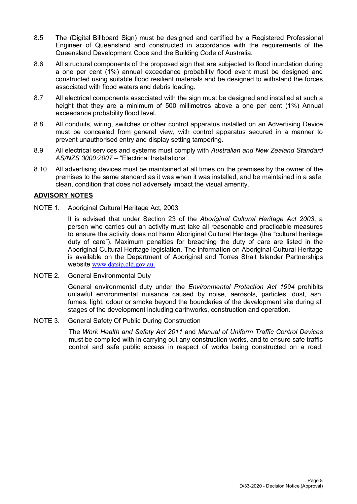- 8.5 The (Digital Billboard Sign) must be designed and certified by a Registered Professional Engineer of Queensland and constructed in accordance with the requirements of the Queensland Development Code and the Building Code of Australia.
- 8.6 All structural components of the proposed sign that are subjected to flood inundation during a one per cent (1%) annual exceedance probability flood event must be designed and constructed using suitable flood resilient materials and be designed to withstand the forces associated with flood waters and debris loading.
- 8.7 All electrical components associated with the sign must be designed and installed at such a height that they are a minimum of 500 millimetres above a one per cent (1%) Annual exceedance probability flood level.
- 8.8 All conduits, wiring, switches or other control apparatus installed on an Advertising Device must be concealed from general view, with control apparatus secured in a manner to prevent unauthorised entry and display setting tampering.
- 8.9 All electrical services and systems must comply with *Australian and New Zealand Standard AS/NZS 3000:2007* – "Electrical Installations".
- 8.10 All advertising devices must be maintained at all times on the premises by the owner of the premises to the same standard as it was when it was installed, and be maintained in a safe, clean, condition that does not adversely impact the visual amenity.

# **ADVISORY NOTES**

NOTE 1. Aboriginal Cultural Heritage Act, 2003

It is advised that under Section 23 of the *Aboriginal Cultural Heritage Act 2003*, a person who carries out an activity must take all reasonable and practicable measures to ensure the activity does not harm Aboriginal Cultural Heritage (the "cultural heritage duty of care"). Maximum penalties for breaching the duty of care are listed in the Aboriginal Cultural Heritage legislation. The information on Aboriginal Cultural Heritage is available on the Department of Aboriginal and Torres Strait Islander Partnerships website [www.datsip.qld.gov.au.](http://www.datsip.qld.gov.au/)

NOTE 2. General Environmental Duty

General environmental duty under the *Environmental Protection Act 1994* prohibits unlawful environmental nuisance caused by noise, aerosols, particles, dust, ash, fumes, light, odour or smoke beyond the boundaries of the development site during all stages of the development including earthworks, construction and operation.

## NOTE 3. General Safety Of Public During Construction

The *Work Health and Safety Act 2011* and *Manual of Uniform Traffic Control Devices* must be complied with in carrying out any construction works, and to ensure safe traffic control and safe public access in respect of works being constructed on a road.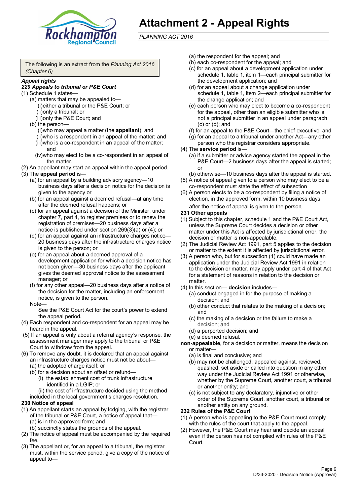

# **Attachment 2 - Appeal Rights**

*PLANNING ACT 2016*

The following is an extract from the *Planning Act 2016 (Chapter 6)*

#### *Appeal rights*

### *229 Appeals to tribunal or P&E Court*

- (1) Schedule 1 states—
	- (a) matters that may be appealed to— (i)either a tribunal or the P&E Court; or (ii)only a tribunal; or (iii)only the P&E Court; and
	- (b) the person—

(i)who may appeal a matter (the **appellant**); and (ii)who is a respondent in an appeal of the matter; and (iii)who is a co-respondent in an appeal of the matter; and

- (iv)who may elect to be a co-respondent in an appeal of the matter.
- (2) An appellant may start an appeal within the appeal period.
- (3) The **appeal period** is—
	- (a) for an appeal by a building advisory agency—10 business days after a decision notice for the decision is given to the agency or
	- (b) for an appeal against a deemed refusal—at any time after the deemed refusal happens; or
	- (c) for an appeal against a decision of the Minister, under chapter 7, part 4, to register premises or to renew the registration of premises—20 business days after a notice is published under section 269(3)(a) or (4); or
	- (d) for an appeal against an infrastructure charges notice— 20 business days after the infrastructure charges notice is given to the person; or
	- (e) for an appeal about a deemed approval of a development application for which a decision notice has not been given—30 business days after the applicant gives the deemed approval notice to the assessment manager; or
	- (f) for any other appeal—20 business days after a notice of the decision for the matter, including an enforcement notice, is given to the person.

#### Note—

See the P&E Court Act for the court's power to extend the appeal period.

- (4) Each respondent and co-respondent for an appeal may be heard in the appeal.
- (5) If an appeal is only about a referral agency's response, the assessment manager may apply to the tribunal or P&E Court to withdraw from the appeal.
- (6) To remove any doubt, it is declared that an appeal against an infrastructure charges notice must not be about—
	- (a) the adopted charge itself; or
	- (b) for a decision about an offset or refund—
		- (i) the establishment cost of trunk infrastructure identified in a LGIP; or
		- (ii) the cost of infrastructure decided using the method
	- included in the local government's charges resolution.

### **230 Notice of appeal**

- (1) An appellant starts an appeal by lodging, with the registrar of the tribunal or P&E Court, a notice of appeal that—
	- (a) is in the approved form; and
	- (b) succinctly states the grounds of the appeal.
- (2) The notice of appeal must be accompanied by the required fee.
- (3) The appellant or, for an appeal to a tribunal, the registrar must, within the service period, give a copy of the notice of appeal to—
- (a) the respondent for the appeal; and
- (b) each co-respondent for the appeal; and
- (c) for an appeal about a development application under schedule 1, table 1, item 1—each principal submitter for the development application; and
- (d) for an appeal about a change application under schedule 1, table 1, item 2—each principal submitter for the change application; and
- (e) each person who may elect to become a co-respondent for the appeal, other than an eligible submitter who is not a principal submitter in an appeal under paragraph (c) or (d); and
- (f) for an appeal to the P&E Court—the chief executive; and
- (g) for an appeal to a tribunal under another Act—any other person who the registrar considers appropriate.
- (4) The **service period** is—
	- (a) if a submitter or advice agency started the appeal in the P&E Court-2 business days after the appeal is started; or
	- (b) otherwise—10 business days after the appeal is started.
- (5) A notice of appeal given to a person who may elect to be a co-respondent must state the effect of subsection
- (6) A person elects to be a co-respondent by filing a notice of election, in the approved form, within 10 business days

after the notice of appeal is given to the person*.*

- **231 Other appeals**
- (1) Subject to this chapter, schedule 1 and the P&E Court Act, unless the Supreme Court decides a decision or other matter under this Act is affected by jurisdictional error, the decision or matter is non-appealable.
- (2) The Judicial Review Act 1991, part 5 applies to the decision or matter to the extent it is affected by jurisdictional error.
- (3) A person who, but for subsection (1) could have made an application under the Judicial Review Act 1991 in relation to the decision or matter, may apply under part 4 of that Act for a statement of reasons in relation to the decision or matter.
- (4) In this section— **decision** includes—
	- (a) conduct engaged in for the purpose of making a decision; and
	- (b) other conduct that relates to the making of a decision; and
	- (c) the making of a decision or the failure to make a decision; and
	- (d) a purported decision; and
	- (e) a deemed refusal.

**non-appealable**, for a decision or matter, means the decision or matter—

- (a) is final and conclusive; and
- (b) may not be challenged, appealed against, reviewed, quashed, set aside or called into question in any other way under the Judicial Review Act 1991 or otherwise, whether by the Supreme Court, another court, a tribunal or another entity; and
- (c) is not subject to any declaratory, injunctive or other order of the Supreme Court, another court, a tribunal or another entity on any ground.

#### **232 Rules of the P&E Court**

- (1) A person who is appealing to the P&E Court must comply with the rules of the court that apply to the appeal.
- (2) However, the P&E Court may hear and decide an appeal even if the person has not complied with rules of the P&E Court.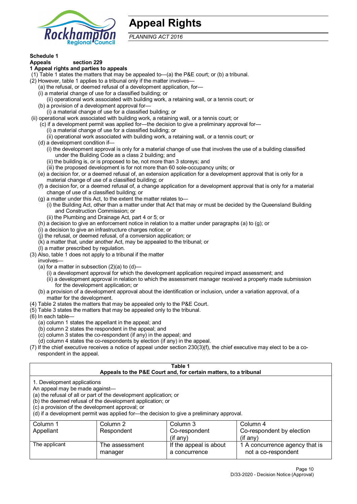

# **Appeal Rights**

*PLANNING ACT 2016*

# **Schedule 1**

#### **Appeals section 229 1 Appeal rights and parties to appeals**

- (1) Table 1 states the matters that may be appealed to—(a) the P&E court; or (b) a tribunal.
- (2) However, table 1 applies to a tribunal only if the matter involves—
	- (a) the refusal, or deemed refusal of a development application, for—
	- (i) a material change of use for a classified building; or
	- (ii) operational work associated with building work, a retaining wall, or a tennis court; or
	- (b) a provision of a development approval for—
	- (i) a material change of use for a classified building; or
- (ii) operational work associated with building work, a retaining wall, or a tennis court; or
	- (c) if a development permit was applied for—the decision to give a preliminary approval for—
		- (i) a material change of use for a classified building; or
	- (ii) operational work associated with building work, a retaining wall, or a tennis court; or
	- (d) a development condition if—
		- (i) the development approval is only for a material change of use that involves the use of a building classified under the Building Code as a class 2 building; and
		- (ii) the building is, or is proposed to be, not more than 3 storeys; and
		- (iii) the proposed development is for not more than 60 sole-occupancy units; or
	- (e) a decision for, or a deemed refusal of, an extension application for a development approval that is only for a material change of use of a classified building; or
	- (f) a decision for, or a deemed refusal of, a change application for a development approval that is only for a material change of use of a classified building; or
	- (g) a matter under this Act, to the extent the matter relates to—
		- (i) the Building Act, other than a matter under that Act that may or must be decided by the Queensland Building and Construction Commission; or
		- (ii) the Plumbing and Drainage Act, part 4 or 5; or
	- (h) a decision to give an enforcement notice in relation to a matter under paragraphs (a) to (g); or
	- (i) a decision to give an infrastructure charges notice; or
	- (j) the refusal, or deemed refusal, of a conversion application; or
	- (k) a matter that, under another Act, may be appealed to the tribunal; or
	- (l) a matter prescribed by regulation.
- (3) Also, table 1 does not apply to a tribunal if the matter

involves—

- (a) for a matter in subsection  $(2)(a)$  to  $(d)$ 
	- (i) a development approval for which the development application required impact assessment; and
	- (ii) a development approval in relation to which the assessment manager received a properly made submission for the development application; or
- (b) a provision of a development approval about the identification or inclusion, under a variation approval, of a matter for the development.
- (4) Table 2 states the matters that may be appealed only to the P&E Court.
- (5) Table 3 states the matters that may be appealed only to the tribunal.
- (6) In each table—
	- (a) column 1 states the appellant in the appeal; and
	- (b) column 2 states the respondent in the appeal; and
	- (c) column 3 states the co-respondent (if any) in the appeal; and
	- (d) column 4 states the co-respondents by election (if any) in the appeal.
- (7) If the chief executive receives a notice of appeal under section 230(3)(f), the chief executive may elect to be a corespondent in the appeal.

| Table 1<br>Appeals to the P&E Court and, for certain matters, to a tribunal                                                                                                                                                                                                                                                                    |                           |                                         |                                                       |  |
|------------------------------------------------------------------------------------------------------------------------------------------------------------------------------------------------------------------------------------------------------------------------------------------------------------------------------------------------|---------------------------|-----------------------------------------|-------------------------------------------------------|--|
| 1. Development applications<br>An appeal may be made against-<br>(a) the refusal of all or part of the development application; or<br>(b) the deemed refusal of the development application; or<br>(c) a provision of the development approval; or<br>(d) if a development permit was applied for-the decision to give a preliminary approval. |                           |                                         |                                                       |  |
| Column 2<br>Column 3<br>Column 1<br>Column 4                                                                                                                                                                                                                                                                                                   |                           |                                         |                                                       |  |
| Appellant                                                                                                                                                                                                                                                                                                                                      | Respondent                | Co-respondent                           | Co-respondent by election                             |  |
| $($ if any $)$<br>$(f \text{ any})$                                                                                                                                                                                                                                                                                                            |                           |                                         |                                                       |  |
| The applicant                                                                                                                                                                                                                                                                                                                                  | The assessment<br>manager | If the appeal is about<br>a concurrence | 1 A concurrence agency that is<br>not a co-respondent |  |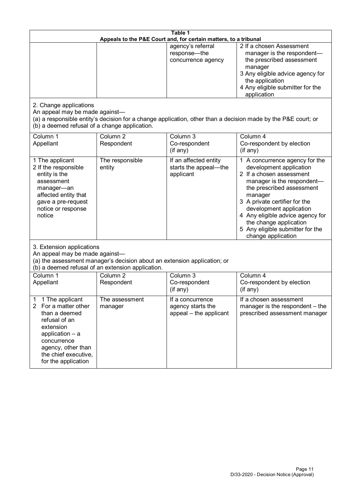| Table 1<br>Appeals to the P&E Court and, for certain matters, to a tribunal                                                                                                                                        |                                                                                                                               |                                                                 |                                                                                                                                                                                                                                                                                                                                                 |
|--------------------------------------------------------------------------------------------------------------------------------------------------------------------------------------------------------------------|-------------------------------------------------------------------------------------------------------------------------------|-----------------------------------------------------------------|-------------------------------------------------------------------------------------------------------------------------------------------------------------------------------------------------------------------------------------------------------------------------------------------------------------------------------------------------|
|                                                                                                                                                                                                                    |                                                                                                                               | agency's referral<br>response-the<br>concurrence agency         | 2 If a chosen Assessment<br>manager is the respondent-<br>the prescribed assessment<br>manager<br>3 Any eligible advice agency for<br>the application<br>4 Any eligible submitter for the<br>application                                                                                                                                        |
| 2. Change applications<br>An appeal may be made against-<br>(b) a deemed refusal of a change application.                                                                                                          |                                                                                                                               |                                                                 | (a) a responsible entity's decision for a change application, other than a decision made by the P&E court; or                                                                                                                                                                                                                                   |
| Column 1<br>Appellant                                                                                                                                                                                              | Column <sub>2</sub><br>Respondent                                                                                             | Column 3<br>Co-respondent<br>$($ if any $)$                     | Column 4<br>Co-respondent by election<br>(if any)                                                                                                                                                                                                                                                                                               |
| 1 The applicant<br>2 If the responsible<br>entity is the<br>assessment<br>manager-an<br>affected entity that<br>gave a pre-request<br>notice or response<br>notice                                                 | The responsible<br>entity                                                                                                     | If an affected entity<br>starts the appeal-the<br>applicant     | 1 A concurrence agency for the<br>development application<br>2 If a chosen assessment<br>manager is the respondent-<br>the prescribed assessment<br>manager<br>3 A private certifier for the<br>development application<br>4 Any eligible advice agency for<br>the change application<br>5 Any eligible submitter for the<br>change application |
| 3. Extension applications<br>An appeal may be made against-                                                                                                                                                        | (a) the assessment manager's decision about an extension application; or<br>(b) a deemed refusal of an extension application. |                                                                 |                                                                                                                                                                                                                                                                                                                                                 |
| Column 1<br>Appellant                                                                                                                                                                                              | Column <sub>2</sub><br>Respondent                                                                                             | Column 3<br>Co-respondent<br>(if any)                           | Column 4<br>Co-respondent by election<br>(if any)                                                                                                                                                                                                                                                                                               |
| 1 The applicant<br>1<br>$\overline{2}$<br>For a matter other<br>than a deemed<br>refusal of an<br>extension<br>application - a<br>concurrence<br>agency, other than<br>the chief executive,<br>for the application | The assessment<br>manager                                                                                                     | If a concurrence<br>agency starts the<br>appeal - the applicant | If a chosen assessment<br>manager is the respondent – the<br>prescribed assessment manager                                                                                                                                                                                                                                                      |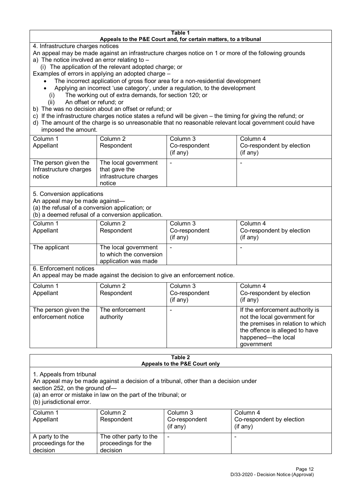#### **Table 1 Appeals to the P&E Court and, for certain matters, to a tribunal**

4. Infrastructure charges notices

- An appeal may be made against an infrastructure charges notice on 1 or more of the following grounds
- a) The notice involved an error relating to –
- (i) The application of the relevant adopted charge; or
- Examples of errors in applying an adopted charge
	- The incorrect application of gross floor area for a non-residential development
	- Applying an incorrect 'use category', under a regulation, to the development
	- (i) The working out of extra demands, for section 120; or
	- (ii) An offset or refund; or
- b) The was no decision about an offset or refund; or
- c) If the infrastructure charges notice states a refund will be given the timing for giving the refund; or
- d) The amount of the charge is so unreasonable that no reasonable relevant local government could have

# imposed the amount.

| Column 1                                                 | Column 2                                                                  | Column 3       | Column 4                  |
|----------------------------------------------------------|---------------------------------------------------------------------------|----------------|---------------------------|
| Appellant                                                | Respondent                                                                | Co-respondent  | Co-respondent by election |
|                                                          |                                                                           | $($ if any $)$ | $($ if any $)$            |
| The person given the<br>Infrastructure charges<br>notice | The local government<br>that gave the<br>infrastructure charges<br>notice |                | $\overline{\phantom{0}}$  |

5. Conversion applications

An appeal may be made against—

(a) the refusal of a conversion application; or

(b) a deemed refusal of a conversion application.

| Column 1<br>Appellant | Column 2<br>Respondent                                                  | Column 3<br>Co-respondent<br>$($ if any $)$ | Column 4<br>Co-respondent by election<br>$($ if any $)$ |
|-----------------------|-------------------------------------------------------------------------|---------------------------------------------|---------------------------------------------------------|
| The applicant         | The local government<br>to which the conversion<br>application was made |                                             |                                                         |

6. Enforcement notices

An appeal may be made against the decision to give an enforcement notice.

| Column 1<br>Appellant                      | Column 2<br>Respondent       | Column 3<br>Co-respondent<br>(if any) | Column 4<br>Co-respondent by election<br>$($ if any $)$                                                                                                                    |
|--------------------------------------------|------------------------------|---------------------------------------|----------------------------------------------------------------------------------------------------------------------------------------------------------------------------|
| The person given the<br>enforcement notice | The enforcement<br>authority |                                       | If the enforcement authority is<br>not the local government for<br>the premises in relation to which<br>the offence is alleged to have<br>happened-the local<br>government |

#### **Table 2 Appeals to the P&E Court only**

1. Appeals from tribunal

An appeal may be made against a decision of a tribunal, other than a decision under

section 252, on the ground of—

(a) an error or mistake in law on the part of the tribunal; or

(b) jurisdictional error.

| Column 1<br>Appellant                             | Column 2<br>Respondent                                    | Column 3<br>Co-respondent<br>$($ if any $)$ | Column 4<br>Co-respondent by election<br>(i f any) |
|---------------------------------------------------|-----------------------------------------------------------|---------------------------------------------|----------------------------------------------------|
| A party to the<br>proceedings for the<br>decision | The other party to the<br>proceedings for the<br>decision | $\blacksquare$                              |                                                    |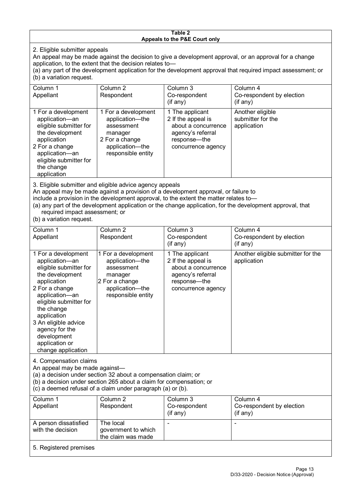#### **Table 2 Appeals to the P&E Court only**

2. Eligible submitter appeals

An appeal may be made against the decision to give a development approval, or an approval for a change application, to the extent that the decision relates to—

(a) any part of the development application for the development approval that required impact assessment; or (b) a variation request.

| Column 1                                                                                                                                                                                     | Column 2                                                                                                                   | Column 3                                                                                                                | Column 4                                             |  |
|----------------------------------------------------------------------------------------------------------------------------------------------------------------------------------------------|----------------------------------------------------------------------------------------------------------------------------|-------------------------------------------------------------------------------------------------------------------------|------------------------------------------------------|--|
| Appellant                                                                                                                                                                                    | Respondent                                                                                                                 | Co-respondent                                                                                                           | Co-respondent by election                            |  |
|                                                                                                                                                                                              |                                                                                                                            | (i f any)                                                                                                               | $($ if any $)$                                       |  |
| 1 For a development<br>application-an<br>eligible submitter for<br>the development<br>application<br>2 For a change<br>application-an<br>eligible submitter for<br>the change<br>application | 1 For a development<br>application-the<br>assessment<br>manager<br>2 For a change<br>application-the<br>responsible entity | 1 The applicant<br>2 If the appeal is<br>about a concurrence<br>agency's referral<br>response-the<br>concurrence agency | Another eligible<br>submitter for the<br>application |  |
| 3. Eligible submitter and eligible advice agency appeals                                                                                                                                     |                                                                                                                            |                                                                                                                         |                                                      |  |

An appeal may be made against a provision of a development approval, or failure to

include a provision in the development approval, to the extent the matter relates to—

(a) any part of the development application or the change application, for the development approval, that required impact assessment; or

(b) a variation request.

| Column 1<br>Appellant                                                                                                                                                                                                                                                                         | Column <sub>2</sub><br>Respondent                                                                                                                                                                    | Column <sub>3</sub><br>Co-respondent<br>(if any)                                                                        | Column 4<br>Co-respondent by election<br>(if any) |
|-----------------------------------------------------------------------------------------------------------------------------------------------------------------------------------------------------------------------------------------------------------------------------------------------|------------------------------------------------------------------------------------------------------------------------------------------------------------------------------------------------------|-------------------------------------------------------------------------------------------------------------------------|---------------------------------------------------|
| 1 For a development<br>application-an<br>eligible submitter for<br>the development<br>application<br>2 For a change<br>application-an<br>eligible submitter for<br>the change<br>application<br>3 An eligible advice<br>agency for the<br>development<br>application or<br>change application | 1 For a development<br>application-the<br>assessment<br>manager<br>2 For a change<br>application-the<br>responsible entity                                                                           | 1 The applicant<br>2 If the appeal is<br>about a concurrence<br>agency's referral<br>response-the<br>concurrence agency | Another eligible submitter for the<br>application |
| 4. Compensation claims<br>An appeal may be made against-                                                                                                                                                                                                                                      | (a) a decision under section 32 about a compensation claim; or<br>(b) a decision under section 265 about a claim for compensation; or<br>(c) a deemed refusal of a claim under paragraph (a) or (b). |                                                                                                                         |                                                   |
| Column 1<br>Appellant                                                                                                                                                                                                                                                                         | Column <sub>2</sub><br>Respondent                                                                                                                                                                    | Column 3<br>Co-respondent<br>(i f any)                                                                                  | Column 4<br>Co-respondent by election<br>(if any) |
| A person dissatisfied<br>with the decision                                                                                                                                                                                                                                                    | The local<br>government to which<br>the claim was made                                                                                                                                               |                                                                                                                         | ÷                                                 |
| 5. Registered premises                                                                                                                                                                                                                                                                        |                                                                                                                                                                                                      |                                                                                                                         |                                                   |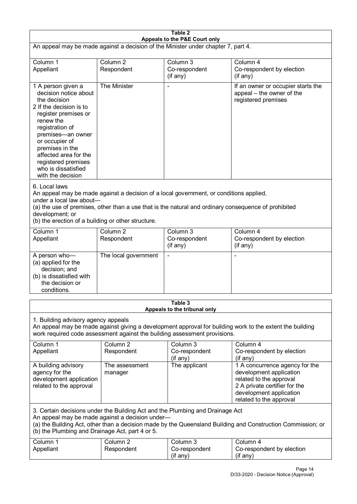| Table 2<br>Appeals to the P&E Court only                                                                                                                                                                                                                                                             |                                   |                                                                                                                                                                                                |                                                                                                                                                                             |  |
|------------------------------------------------------------------------------------------------------------------------------------------------------------------------------------------------------------------------------------------------------------------------------------------------------|-----------------------------------|------------------------------------------------------------------------------------------------------------------------------------------------------------------------------------------------|-----------------------------------------------------------------------------------------------------------------------------------------------------------------------------|--|
| An appeal may be made against a decision of the Minister under chapter 7, part 4.                                                                                                                                                                                                                    |                                   |                                                                                                                                                                                                |                                                                                                                                                                             |  |
| Column 1<br>Appellant                                                                                                                                                                                                                                                                                | Column <sub>2</sub><br>Respondent | Column 3<br>Co-respondent<br>(if any)                                                                                                                                                          | Column 4<br>Co-respondent by election<br>(if any)                                                                                                                           |  |
| 1 A person given a<br>decision notice about<br>the decision<br>2 If the decision is to<br>register premises or<br>renew the<br>registration of<br>premises-an owner<br>or occupier of<br>premises in the<br>affected area for the<br>registered premises<br>who is dissatisfied<br>with the decision | The Minister                      |                                                                                                                                                                                                | If an owner or occupier starts the<br>appeal – the owner of the<br>registered premises                                                                                      |  |
| 6. Local laws<br>under a local law about-<br>development; or<br>(b) the erection of a building or other structure.                                                                                                                                                                                   |                                   | An appeal may be made against a decision of a local government, or conditions applied,<br>(a) the use of premises, other than a use that is the natural and ordinary consequence of prohibited |                                                                                                                                                                             |  |
| Column 1<br>Appellant                                                                                                                                                                                                                                                                                | Column 2<br>Respondent            | Column 3<br>Co-respondent<br>(if any)                                                                                                                                                          | Column 4<br>Co-respondent by election<br>(if any)                                                                                                                           |  |
| A person who-<br>(a) applied for the<br>decision; and<br>(b) is dissatisfied with<br>the decision or<br>conditions.                                                                                                                                                                                  | The local government              |                                                                                                                                                                                                | -                                                                                                                                                                           |  |
|                                                                                                                                                                                                                                                                                                      |                                   | Table 3<br>Appeals to the tribunal only                                                                                                                                                        |                                                                                                                                                                             |  |
| 1. Building advisory agency appeals                                                                                                                                                                                                                                                                  |                                   | work required code assessment against the building assessment provisions.                                                                                                                      | An appeal may be made against giving a development approval for building work to the extent the building                                                                    |  |
| Column 1<br>Appellant                                                                                                                                                                                                                                                                                | Column <sub>2</sub><br>Respondent | Column 3<br>Co-respondent<br>(if any)                                                                                                                                                          | Column 4<br>Co-respondent by election<br>(if any)                                                                                                                           |  |
| A building advisory<br>agency for the<br>development application<br>related to the approval                                                                                                                                                                                                          | The assessment<br>manager         | The applicant                                                                                                                                                                                  | 1 A concurrence agency for the<br>development application<br>related to the approval<br>2 A private certifier for the<br>development application<br>related to the approval |  |
| 3. Certain decisions under the Building Act and the Plumbing and Drainage Act<br>An appeal may be made against a decision under-<br>(a) the Building Act, other than a decision made by the Queensland Building and Construction Commission; or<br>(b) the Plumbing and Drainage Act, part 4 or 5.   |                                   |                                                                                                                                                                                                |                                                                                                                                                                             |  |
| Column 1<br>Appellant                                                                                                                                                                                                                                                                                | Column <sub>2</sub><br>Respondent | Column 3<br>Co-respondent<br>(if any)                                                                                                                                                          | Column 4<br>Co-respondent by election<br>(if any)                                                                                                                           |  |